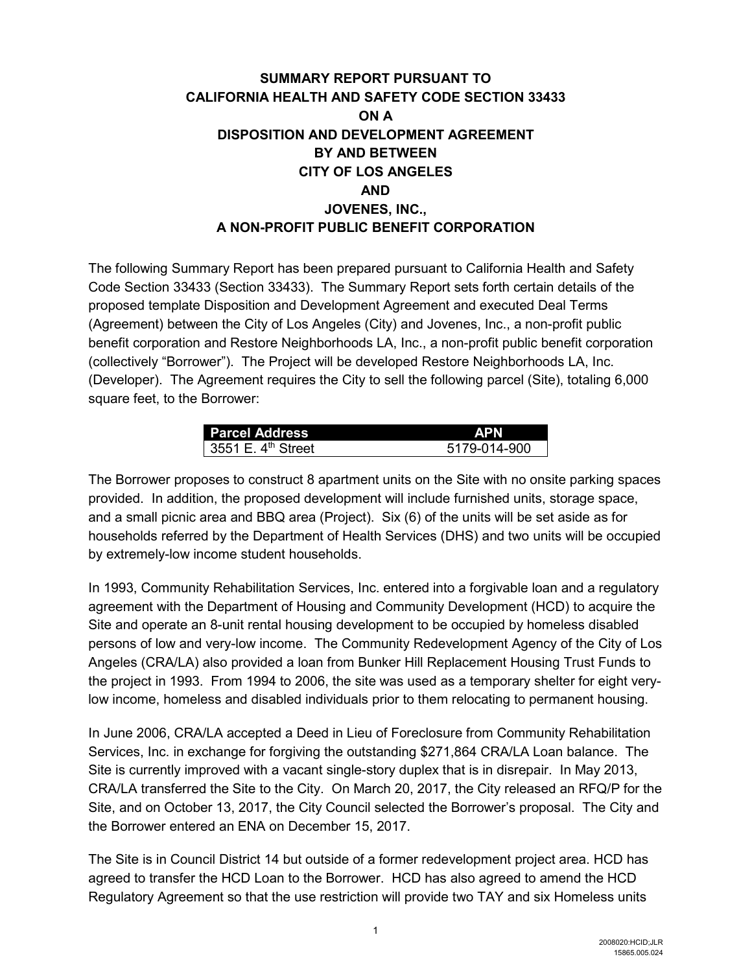# **SUMMARY REPORT PURSUANT TO CALIFORNIA HEALTH AND SAFETY CODE SECTION 33433 ON A DISPOSITION AND DEVELOPMENT AGREEMENT BY AND BETWEEN CITY OF LOS ANGELES AND JOVENES, INC., A NON-PROFIT PUBLIC BENEFIT CORPORATION**

The following Summary Report has been prepared pursuant to California Health and Safety Code Section 33433 (Section 33433). The Summary Report sets forth certain details of the proposed template Disposition and Development Agreement and executed Deal Terms (Agreement) between the City of Los Angeles (City) and Jovenes, Inc., a non-profit public benefit corporation and Restore Neighborhoods LA, Inc., a non-profit public benefit corporation (collectively "Borrower"). The Project will be developed Restore Neighborhoods LA, Inc. (Developer). The Agreement requires the City to sell the following parcel (Site), totaling 6,000 square feet, to the Borrower:

| <b>Parcel Address</b> | <b>APN</b>   |
|-----------------------|--------------|
| 3551 E. $4th$ Street  | 5179-014-900 |

The Borrower proposes to construct 8 apartment units on the Site with no onsite parking spaces provided. In addition, the proposed development will include furnished units, storage space, and a small picnic area and BBQ area (Project). Six (6) of the units will be set aside as for households referred by the Department of Health Services (DHS) and two units will be occupied by extremely-low income student households.

In 1993, Community Rehabilitation Services, Inc. entered into a forgivable loan and a regulatory agreement with the Department of Housing and Community Development (HCD) to acquire the Site and operate an 8-unit rental housing development to be occupied by homeless disabled persons of low and very-low income. The Community Redevelopment Agency of the City of Los Angeles (CRA/LA) also provided a loan from Bunker Hill Replacement Housing Trust Funds to the project in 1993. From 1994 to 2006, the site was used as a temporary shelter for eight verylow income, homeless and disabled individuals prior to them relocating to permanent housing.

In June 2006, CRA/LA accepted a Deed in Lieu of Foreclosure from Community Rehabilitation Services, Inc. in exchange for forgiving the outstanding \$271,864 CRA/LA Loan balance. The Site is currently improved with a vacant single-story duplex that is in disrepair. In May 2013, CRA/LA transferred the Site to the City. On March 20, 2017, the City released an RFQ/P for the Site, and on October 13, 2017, the City Council selected the Borrower's proposal. The City and the Borrower entered an ENA on December 15, 2017.

The Site is in Council District 14 but outside of a former redevelopment project area. HCD has agreed to transfer the HCD Loan to the Borrower. HCD has also agreed to amend the HCD Regulatory Agreement so that the use restriction will provide two TAY and six Homeless units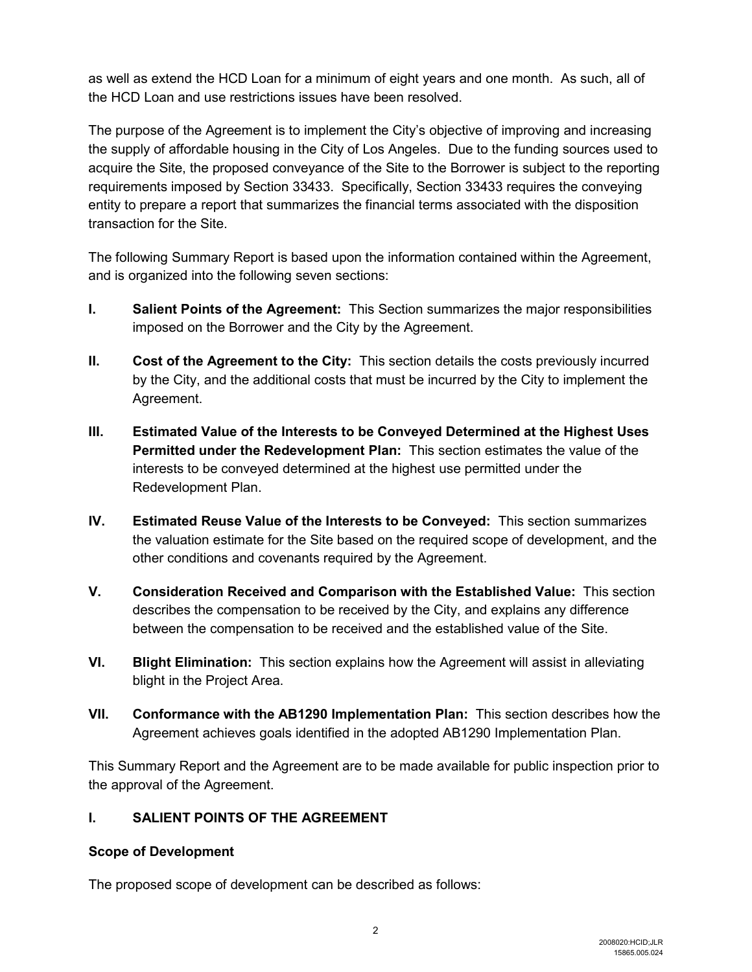as well as extend the HCD Loan for a minimum of eight years and one month. As such, all of the HCD Loan and use restrictions issues have been resolved.

The purpose of the Agreement is to implement the City's objective of improving and increasing the supply of affordable housing in the City of Los Angeles. Due to the funding sources used to acquire the Site, the proposed conveyance of the Site to the Borrower is subject to the reporting requirements imposed by Section 33433. Specifically, Section 33433 requires the conveying entity to prepare a report that summarizes the financial terms associated with the disposition transaction for the Site.

The following Summary Report is based upon the information contained within the Agreement, and is organized into the following seven sections:

- **I. Salient Points of the Agreement:** This Section summarizes the major responsibilities imposed on the Borrower and the City by the Agreement.
- **II. Cost of the Agreement to the City:** This section details the costs previously incurred by the City, and the additional costs that must be incurred by the City to implement the Agreement.
- **III. Estimated Value of the Interests to be Conveyed Determined at the Highest Uses Permitted under the Redevelopment Plan:** This section estimates the value of the interests to be conveyed determined at the highest use permitted under the Redevelopment Plan.
- **IV. Estimated Reuse Value of the Interests to be Conveyed:** This section summarizes the valuation estimate for the Site based on the required scope of development, and the other conditions and covenants required by the Agreement.
- **V. Consideration Received and Comparison with the Established Value:** This section describes the compensation to be received by the City, and explains any difference between the compensation to be received and the established value of the Site.
- **VI. Blight Elimination:** This section explains how the Agreement will assist in alleviating blight in the Project Area.
- **VII. Conformance with the AB1290 Implementation Plan:** This section describes how the Agreement achieves goals identified in the adopted AB1290 Implementation Plan.

This Summary Report and the Agreement are to be made available for public inspection prior to the approval of the Agreement.

# **I. SALIENT POINTS OF THE AGREEMENT**

#### **Scope of Development**

The proposed scope of development can be described as follows: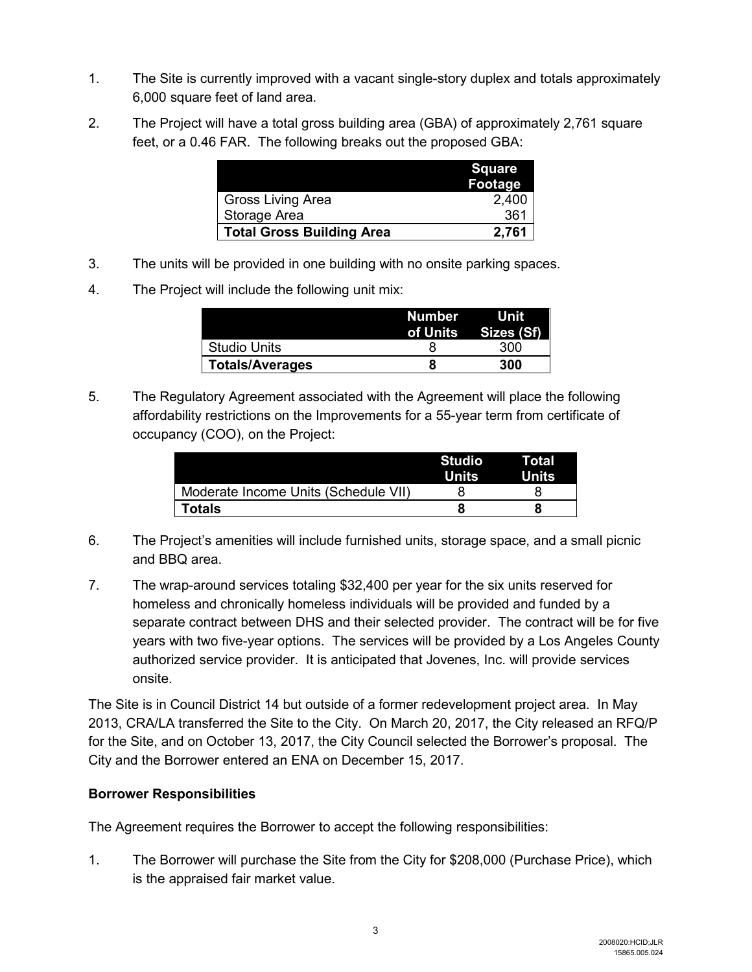- 1. The Site is currently improved with a vacant single-story duplex and totals approximately 6,000 square feet of land area.
- 2. The Project will have a total gross building area (GBA) of approximately 2,761 square feet, or a 0.46 FAR. The following breaks out the proposed GBA:

|                                  | <b>Square</b><br><b>Footage</b> |
|----------------------------------|---------------------------------|
| <b>Gross Living Area</b>         | 2,400                           |
| Storage Area                     | 361                             |
| <b>Total Gross Building Area</b> | 2.761                           |

- 3. The units will be provided in one building with no onsite parking spaces.
- 4. The Project will include the following unit mix:

|                        | Number | <b>utility</b> Unit<br>of Units Sizes (Sf) |
|------------------------|--------|--------------------------------------------|
| <b>Studio Units</b>    |        | 300                                        |
| <b>Totals/Averages</b> |        | 300                                        |

5. The Regulatory Agreement associated with the Agreement will place the following affordability restrictions on the Improvements for a 55-year term from certificate of occupancy (COO), on the Project:

|                                      | <b>Studio</b><br>Units | Total<br>Units |
|--------------------------------------|------------------------|----------------|
| Moderate Income Units (Schedule VII) |                        |                |
| Totals                               |                        |                |

- 6. The Project's amenities will include furnished units, storage space, and a small picnic and BBQ area.
- 7. The wrap-around services totaling \$32,400 per year for the six units reserved for homeless and chronically homeless individuals will be provided and funded by a separate contract between DHS and their selected provider. The contract will be for five years with two five-year options. The services will be provided by a Los Angeles County authorized service provider. It is anticipated that Jovenes, Inc. will provide services onsite.

The Site is in Council District 14 but outside of a former redevelopment project area. In May 2013, CRA/LA transferred the Site to the City. On March 20, 2017, the City released an RFQ/P for the Site, and on October 13, 2017, the City Council selected the Borrower's proposal. The City and the Borrower entered an ENA on December 15, 2017.

#### **Borrower Responsibilities**

The Agreement requires the Borrower to accept the following responsibilities:

1. The Borrower will purchase the Site from the City for \$208,000 (Purchase Price), which is the appraised fair market value.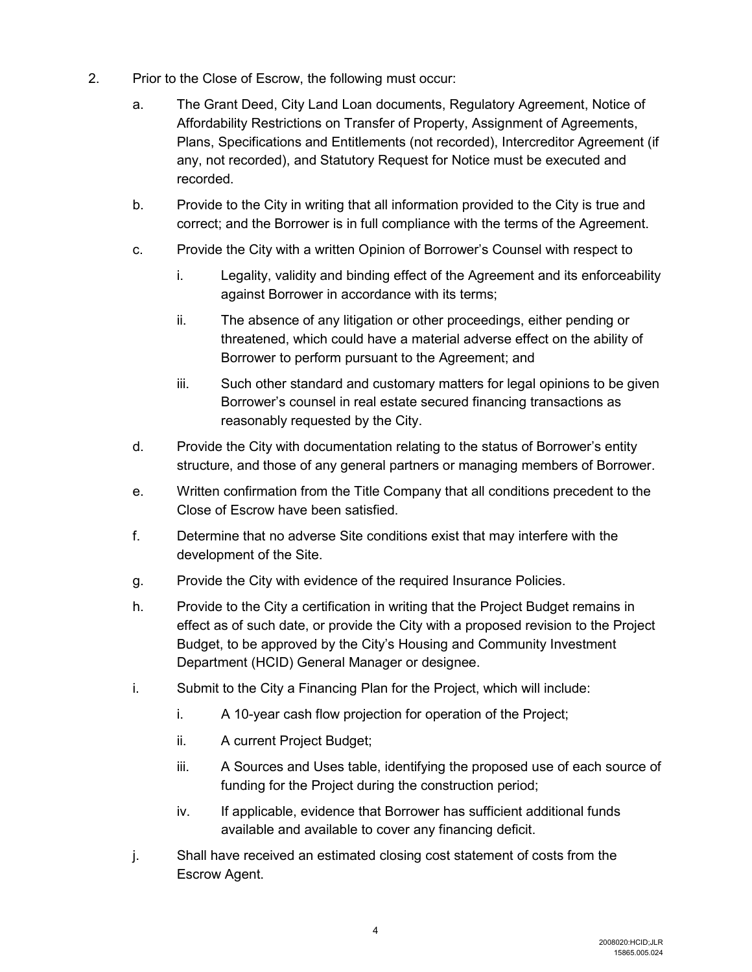- 2. Prior to the Close of Escrow, the following must occur:
	- a. The Grant Deed, City Land Loan documents, Regulatory Agreement, Notice of Affordability Restrictions on Transfer of Property, Assignment of Agreements, Plans, Specifications and Entitlements (not recorded), Intercreditor Agreement (if any, not recorded), and Statutory Request for Notice must be executed and recorded.
	- b. Provide to the City in writing that all information provided to the City is true and correct; and the Borrower is in full compliance with the terms of the Agreement.
	- c. Provide the City with a written Opinion of Borrower's Counsel with respect to
		- i. Legality, validity and binding effect of the Agreement and its enforceability against Borrower in accordance with its terms;
		- ii. The absence of any litigation or other proceedings, either pending or threatened, which could have a material adverse effect on the ability of Borrower to perform pursuant to the Agreement; and
		- iii. Such other standard and customary matters for legal opinions to be given Borrower's counsel in real estate secured financing transactions as reasonably requested by the City.
	- d. Provide the City with documentation relating to the status of Borrower's entity structure, and those of any general partners or managing members of Borrower.
	- e. Written confirmation from the Title Company that all conditions precedent to the Close of Escrow have been satisfied.
	- f. Determine that no adverse Site conditions exist that may interfere with the development of the Site.
	- g. Provide the City with evidence of the required Insurance Policies.
	- h. Provide to the City a certification in writing that the Project Budget remains in effect as of such date, or provide the City with a proposed revision to the Project Budget, to be approved by the City's Housing and Community Investment Department (HCID) General Manager or designee.
	- i. Submit to the City a Financing Plan for the Project, which will include:
		- i. A 10-year cash flow projection for operation of the Project;
		- ii. A current Project Budget;
		- iii. A Sources and Uses table, identifying the proposed use of each source of funding for the Project during the construction period;
		- iv. If applicable, evidence that Borrower has sufficient additional funds available and available to cover any financing deficit.
	- j. Shall have received an estimated closing cost statement of costs from the Escrow Agent.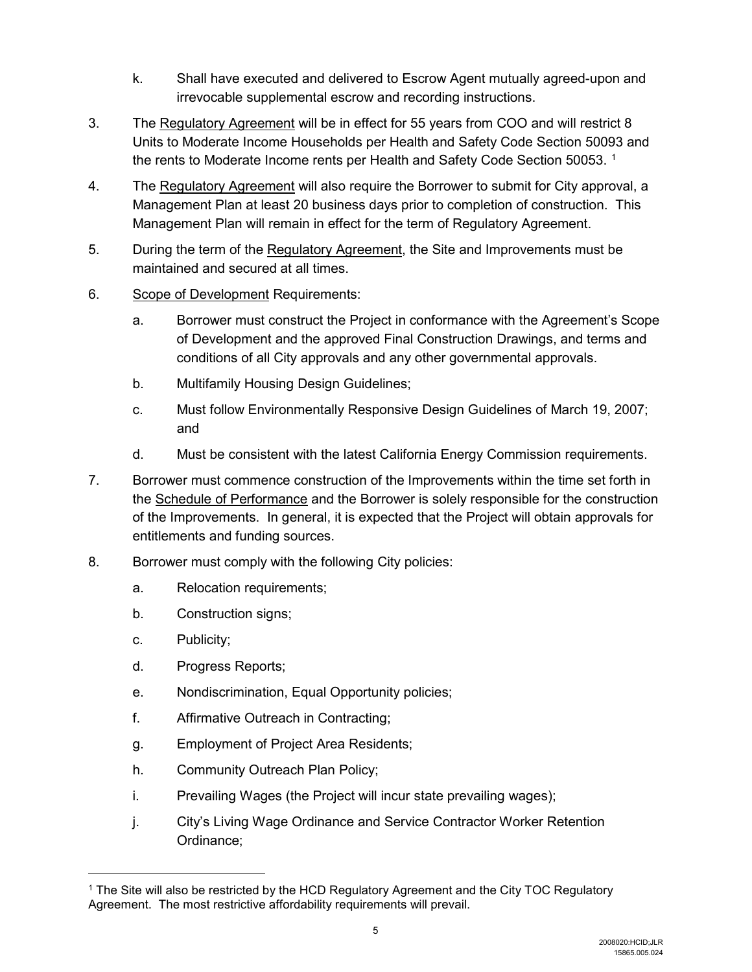- k. Shall have executed and delivered to Escrow Agent mutually agreed-upon and irrevocable supplemental escrow and recording instructions.
- 3. The Regulatory Agreement will be in effect for 55 years from COO and will restrict 8 Units to Moderate Income Households per Health and Safety Code Section 50093 and the rents to Moderate Income rents per Health and Safety Code Section 50053.  $^{\rm 1}$  $^{\rm 1}$  $^{\rm 1}$
- 4. The Regulatory Agreement will also require the Borrower to submit for City approval, a Management Plan at least 20 business days prior to completion of construction. This Management Plan will remain in effect for the term of Regulatory Agreement.
- 5. During the term of the Regulatory Agreement, the Site and Improvements must be maintained and secured at all times.
- 6. Scope of Development Requirements:
	- a. Borrower must construct the Project in conformance with the Agreement's Scope of Development and the approved Final Construction Drawings, and terms and conditions of all City approvals and any other governmental approvals.
	- b. Multifamily Housing Design Guidelines;
	- c. Must follow Environmentally Responsive Design Guidelines of March 19, 2007; and
	- d. Must be consistent with the latest California Energy Commission requirements.
- 7. Borrower must commence construction of the Improvements within the time set forth in the Schedule of Performance and the Borrower is solely responsible for the construction of the Improvements. In general, it is expected that the Project will obtain approvals for entitlements and funding sources.
- 8. Borrower must comply with the following City policies:
	- a. Relocation requirements;
	- b. Construction signs;
	- c. Publicity;

 $\overline{a}$ 

- d. Progress Reports;
- e. Nondiscrimination, Equal Opportunity policies;
- f. Affirmative Outreach in Contracting;
- g. Employment of Project Area Residents;
- h. Community Outreach Plan Policy;
- i. Prevailing Wages (the Project will incur state prevailing wages);
- j. City's Living Wage Ordinance and Service Contractor Worker Retention Ordinance;

<span id="page-4-0"></span><sup>1</sup> The Site will also be restricted by the HCD Regulatory Agreement and the City TOC Regulatory Agreement. The most restrictive affordability requirements will prevail.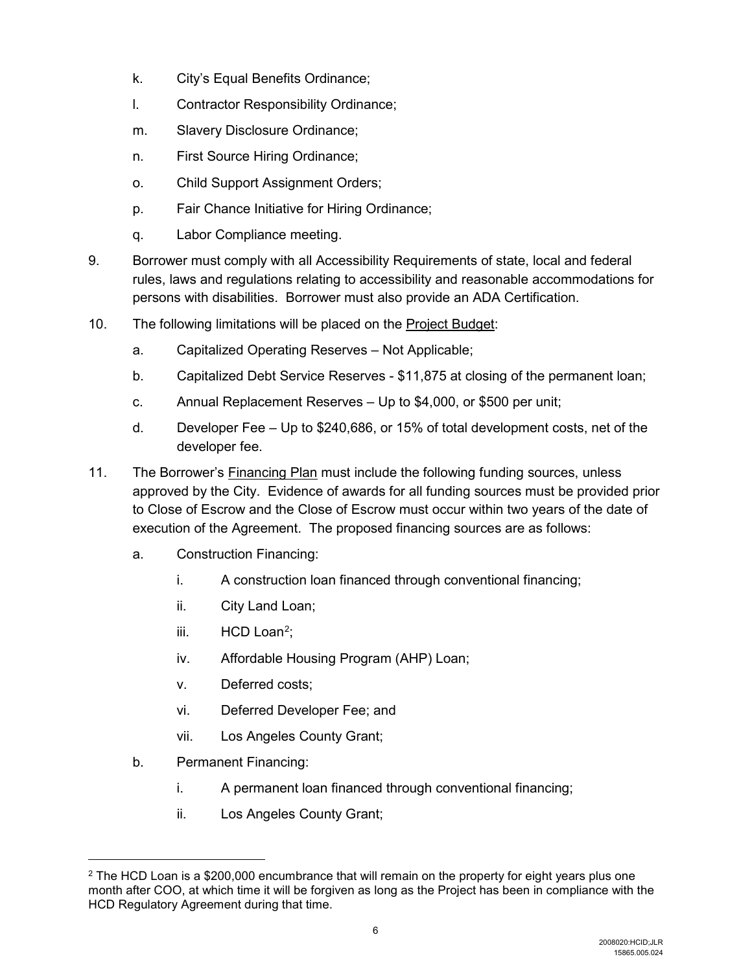- k. City's Equal Benefits Ordinance;
- l. Contractor Responsibility Ordinance;
- m. Slavery Disclosure Ordinance;
- n. First Source Hiring Ordinance;
- o. Child Support Assignment Orders;
- p. Fair Chance Initiative for Hiring Ordinance;
- q. Labor Compliance meeting.
- 9. Borrower must comply with all Accessibility Requirements of state, local and federal rules, laws and regulations relating to accessibility and reasonable accommodations for persons with disabilities. Borrower must also provide an ADA Certification.
- 10. The following limitations will be placed on the Project Budget:
	- a. Capitalized Operating Reserves Not Applicable;
	- b. Capitalized Debt Service Reserves \$11,875 at closing of the permanent loan;
	- c. Annual Replacement Reserves Up to \$4,000, or \$500 per unit;
	- d. Developer Fee Up to \$240,686, or 15% of total development costs, net of the developer fee.
- 11. The Borrower's Financing Plan must include the following funding sources, unless approved by the City. Evidence of awards for all funding sources must be provided prior to Close of Escrow and the Close of Escrow must occur within two years of the date of execution of the Agreement. The proposed financing sources are as follows:
	- a. Construction Financing:
		- i. A construction loan financed through conventional financing;
		- ii. City Land Loan;
		- iii. HCD Loan<sup>[2](#page-5-0)</sup>;
		- iv. Affordable Housing Program (AHP) Loan;
		- v. Deferred costs;
		- vi. Deferred Developer Fee; and
		- vii. Los Angeles County Grant;
	- b. Permanent Financing:

 $\overline{a}$ 

- i. A permanent loan financed through conventional financing;
- ii. Los Angeles County Grant;

<span id="page-5-0"></span> $2$  The HCD Loan is a \$200,000 encumbrance that will remain on the property for eight years plus one month after COO, at which time it will be forgiven as long as the Project has been in compliance with the HCD Regulatory Agreement during that time.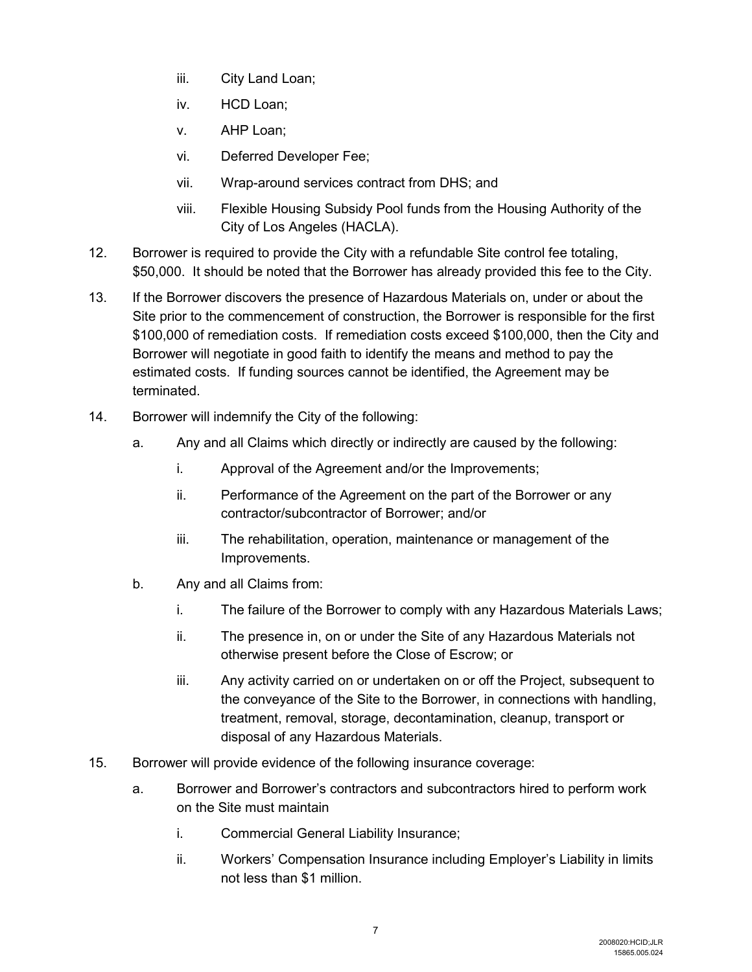- iii. City Land Loan;
- iv. HCD Loan;
- v. AHP Loan;
- vi. Deferred Developer Fee;
- vii. Wrap-around services contract from DHS; and
- viii. Flexible Housing Subsidy Pool funds from the Housing Authority of the City of Los Angeles (HACLA).
- 12. Borrower is required to provide the City with a refundable Site control fee totaling, \$50,000. It should be noted that the Borrower has already provided this fee to the City.
- 13. If the Borrower discovers the presence of Hazardous Materials on, under or about the Site prior to the commencement of construction, the Borrower is responsible for the first \$100,000 of remediation costs. If remediation costs exceed \$100,000, then the City and Borrower will negotiate in good faith to identify the means and method to pay the estimated costs. If funding sources cannot be identified, the Agreement may be terminated.
- 14. Borrower will indemnify the City of the following:
	- a. Any and all Claims which directly or indirectly are caused by the following:
		- i. Approval of the Agreement and/or the Improvements;
		- ii. Performance of the Agreement on the part of the Borrower or any contractor/subcontractor of Borrower; and/or
		- iii. The rehabilitation, operation, maintenance or management of the Improvements.
	- b. Any and all Claims from:
		- i. The failure of the Borrower to comply with any Hazardous Materials Laws;
		- ii. The presence in, on or under the Site of any Hazardous Materials not otherwise present before the Close of Escrow; or
		- iii. Any activity carried on or undertaken on or off the Project, subsequent to the conveyance of the Site to the Borrower, in connections with handling, treatment, removal, storage, decontamination, cleanup, transport or disposal of any Hazardous Materials.
- 15. Borrower will provide evidence of the following insurance coverage:
	- a. Borrower and Borrower's contractors and subcontractors hired to perform work on the Site must maintain
		- i. Commercial General Liability Insurance;
		- ii. Workers' Compensation Insurance including Employer's Liability in limits not less than \$1 million.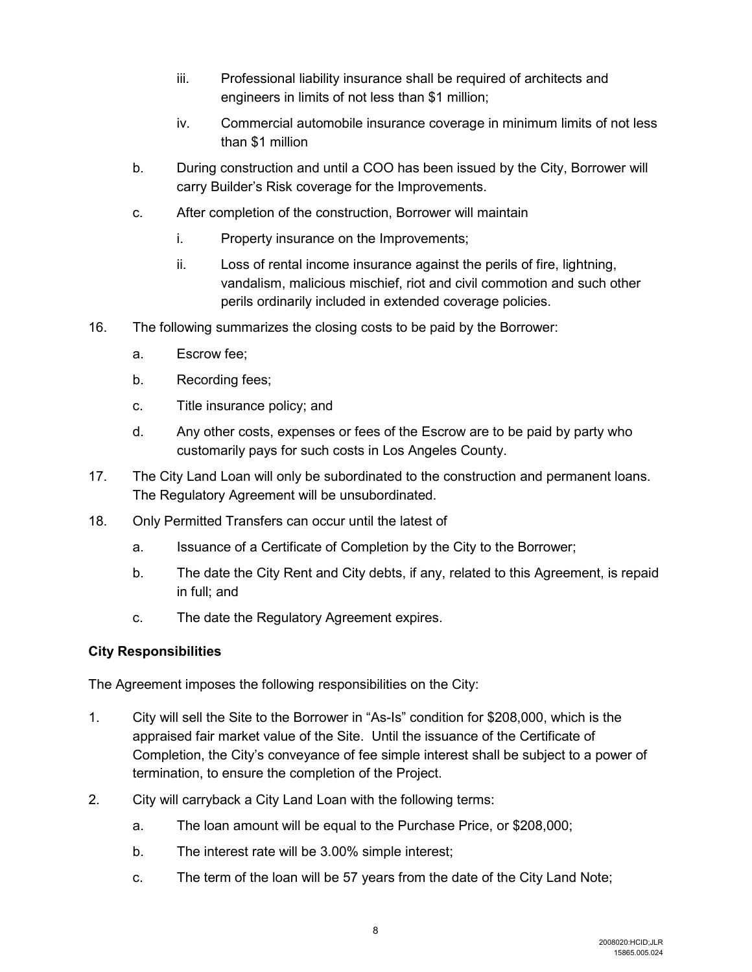- iii. Professional liability insurance shall be required of architects and engineers in limits of not less than \$1 million;
- iv. Commercial automobile insurance coverage in minimum limits of not less than \$1 million
- b. During construction and until a COO has been issued by the City, Borrower will carry Builder's Risk coverage for the Improvements.
- c. After completion of the construction, Borrower will maintain
	- i. Property insurance on the Improvements;
	- ii. Loss of rental income insurance against the perils of fire, lightning, vandalism, malicious mischief, riot and civil commotion and such other perils ordinarily included in extended coverage policies.
- 16. The following summarizes the closing costs to be paid by the Borrower:
	- a. Escrow fee;
	- b. Recording fees;
	- c. Title insurance policy; and
	- d. Any other costs, expenses or fees of the Escrow are to be paid by party who customarily pays for such costs in Los Angeles County.
- 17. The City Land Loan will only be subordinated to the construction and permanent loans. The Regulatory Agreement will be unsubordinated.
- 18. Only Permitted Transfers can occur until the latest of
	- a. Issuance of a Certificate of Completion by the City to the Borrower;
	- b. The date the City Rent and City debts, if any, related to this Agreement, is repaid in full; and
	- c. The date the Regulatory Agreement expires.

#### **City Responsibilities**

The Agreement imposes the following responsibilities on the City:

- 1. City will sell the Site to the Borrower in "As-Is" condition for \$208,000, which is the appraised fair market value of the Site. Until the issuance of the Certificate of Completion, the City's conveyance of fee simple interest shall be subject to a power of termination, to ensure the completion of the Project.
- 2. City will carryback a City Land Loan with the following terms:
	- a. The loan amount will be equal to the Purchase Price, or \$208,000;
	- b. The interest rate will be 3.00% simple interest;
	- c. The term of the loan will be 57 years from the date of the City Land Note;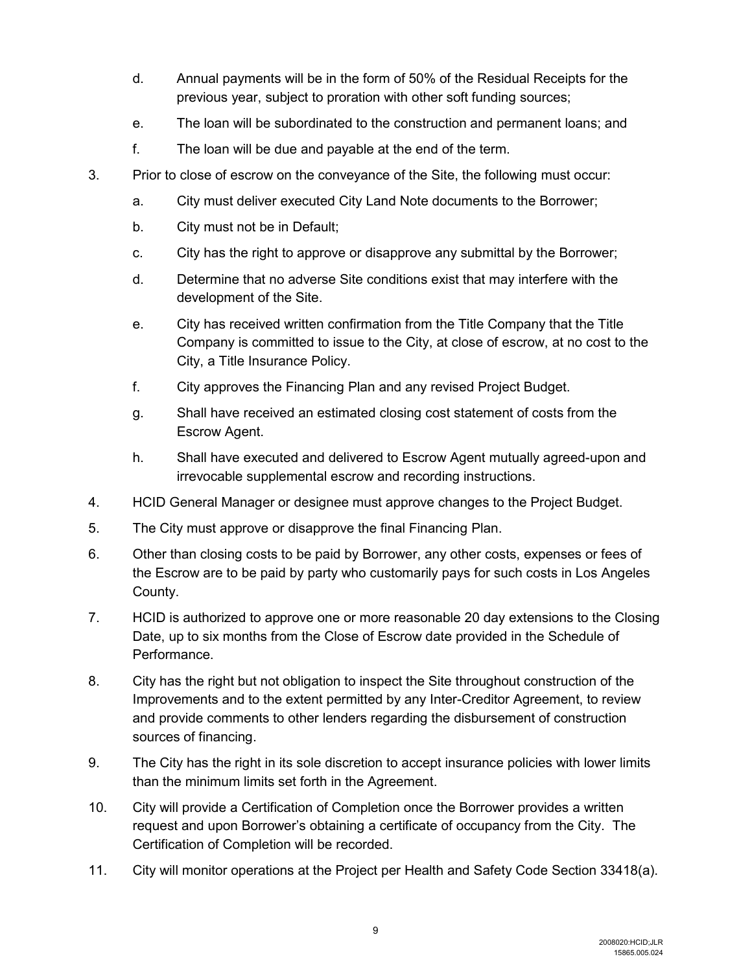- d. Annual payments will be in the form of 50% of the Residual Receipts for the previous year, subject to proration with other soft funding sources;
- e. The loan will be subordinated to the construction and permanent loans; and
- f. The loan will be due and payable at the end of the term.
- 3. Prior to close of escrow on the conveyance of the Site, the following must occur:
	- a. City must deliver executed City Land Note documents to the Borrower;
	- b. City must not be in Default;
	- c. City has the right to approve or disapprove any submittal by the Borrower;
	- d. Determine that no adverse Site conditions exist that may interfere with the development of the Site.
	- e. City has received written confirmation from the Title Company that the Title Company is committed to issue to the City, at close of escrow, at no cost to the City, a Title Insurance Policy.
	- f. City approves the Financing Plan and any revised Project Budget.
	- g. Shall have received an estimated closing cost statement of costs from the Escrow Agent.
	- h. Shall have executed and delivered to Escrow Agent mutually agreed-upon and irrevocable supplemental escrow and recording instructions.
- 4. HCID General Manager or designee must approve changes to the Project Budget.
- 5. The City must approve or disapprove the final Financing Plan.
- 6. Other than closing costs to be paid by Borrower, any other costs, expenses or fees of the Escrow are to be paid by party who customarily pays for such costs in Los Angeles County.
- 7. HCID is authorized to approve one or more reasonable 20 day extensions to the Closing Date, up to six months from the Close of Escrow date provided in the Schedule of Performance.
- 8. City has the right but not obligation to inspect the Site throughout construction of the Improvements and to the extent permitted by any Inter-Creditor Agreement, to review and provide comments to other lenders regarding the disbursement of construction sources of financing.
- 9. The City has the right in its sole discretion to accept insurance policies with lower limits than the minimum limits set forth in the Agreement.
- 10. City will provide a Certification of Completion once the Borrower provides a written request and upon Borrower's obtaining a certificate of occupancy from the City. The Certification of Completion will be recorded.
- 11. City will monitor operations at the Project per Health and Safety Code Section 33418(a).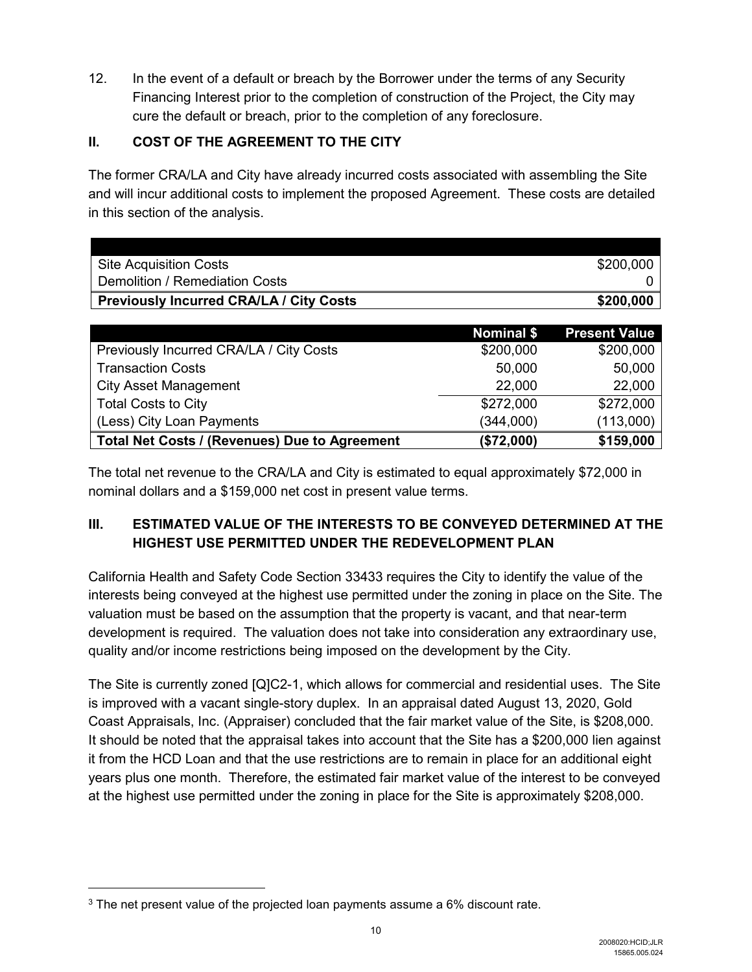12. In the event of a default or breach by the Borrower under the terms of any Security Financing Interest prior to the completion of construction of the Project, the City may cure the default or breach, prior to the completion of any foreclosure.

### **II. COST OF THE AGREEMENT TO THE CITY**

The former CRA/LA and City have already incurred costs associated with assembling the Site and will incur additional costs to implement the proposed Agreement. These costs are detailed in this section of the analysis.

| <b>Site Acquisition Costs</b>                  | \$200,000 |
|------------------------------------------------|-----------|
| Demolition / Remediation Costs                 |           |
| <b>Previously Incurred CRA/LA / City Costs</b> | \$200,000 |

|                                               | Nominal \$ | <b>Present Value</b> |
|-----------------------------------------------|------------|----------------------|
| Previously Incurred CRA/LA / City Costs       | \$200,000  | \$200,000            |
| <b>Transaction Costs</b>                      | 50,000     | 50,000               |
| <b>City Asset Management</b>                  | 22,000     | 22,000               |
| <b>Total Costs to City</b>                    | \$272,000  | \$272,000            |
| (Less) City Loan Payments                     | (344,000)  | (113,000)            |
| Total Net Costs / (Revenues) Due to Agreement | (\$72,000) | \$159,000            |

The total net revenue to the CRA/LA and City is estimated to equal approximately \$72,000 in nominal dollars and a \$159,000 net cost in present value terms.

# **III. ESTIMATED VALUE OF THE INTERESTS TO BE CONVEYED DETERMINED AT THE HIGHEST USE PERMITTED UNDER THE REDEVELOPMENT PLAN**

California Health and Safety Code Section 33433 requires the City to identify the value of the interests being conveyed at the highest use permitted under the zoning in place on the Site. The valuation must be based on the assumption that the property is vacant, and that near-term development is required. The valuation does not take into consideration any extraordinary use, quality and/or income restrictions being imposed on the development by the City.

The Site is currently zoned [Q]C2-1, which allows for commercial and residential uses. The Site is improved with a vacant single-story duplex. In an appraisal dated August 13, 2020, Gold Coast Appraisals, Inc. (Appraiser) concluded that the fair market value of the Site, is \$208,000. It should be noted that the appraisal takes into account that the Site has a \$200,000 lien against it from the HCD Loan and that the use restrictions are to remain in place for an additional eight years plus one month. Therefore, the estimated fair market value of the interest to be conveyed at the highest use permitted under the zoning in place for the Site is approximately \$208,000.

 $\overline{a}$ 

<sup>3</sup> The net present value of the projected loan payments assume a 6% discount rate.